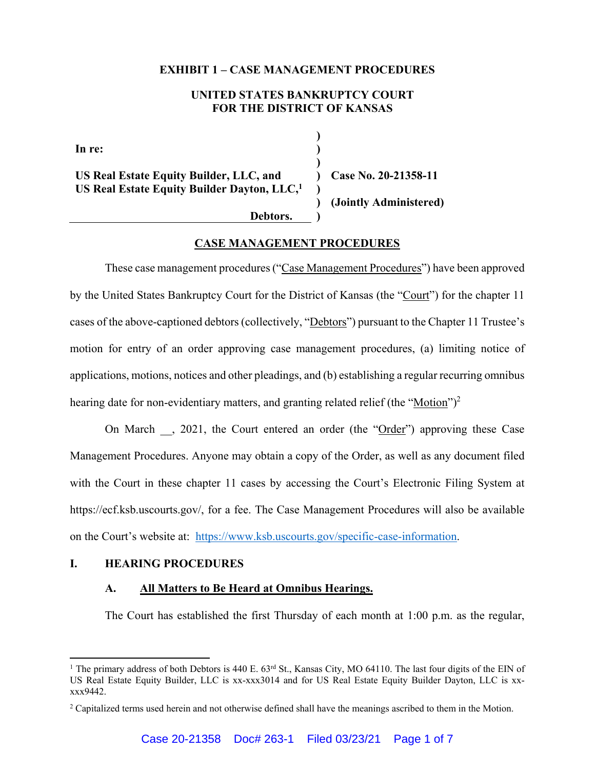#### **EXHIBIT 1 – CASE MANAGEMENT PROCEDURES**

## **UNITED STATES BANKRUPTCY COURT FOR THE DISTRICT OF KANSAS**

**) ) ) ) ) )**

**In re:** 

**US Real Estate Equity Builder, LLC, and US Real Estate Equity Builder Dayton, LLC,1**

 **)** 

**Case No. 20-21358-11** 

**(Jointly Administered)** 

 **Debtors.** 

## **CASE MANAGEMENT PROCEDURES**

These case management procedures ("Case Management Procedures") have been approved by the United States Bankruptcy Court for the District of Kansas (the "Court") for the chapter 11 cases of the above-captioned debtors (collectively, "Debtors") pursuant to the Chapter 11 Trustee's motion for entry of an order approving case management procedures, (a) limiting notice of applications, motions, notices and other pleadings, and (b) establishing a regular recurring omnibus hearing date for non-evidentiary matters, and granting related relief (the "Motion")<sup>2</sup>

On March , 2021, the Court entered an order (the "Order") approving these Case Management Procedures. Anyone may obtain a copy of the Order, as well as any document filed with the Court in these chapter 11 cases by accessing the Court's Electronic Filing System at https://ecf.ksb.uscourts.gov/, for a fee. The Case Management Procedures will also be available on the Court's website at: https://www.ksb.uscourts.gov/specific-case-information.

## **I. HEARING PROCEDURES**

 $\overline{a}$ 

## **A. All Matters to Be Heard at Omnibus Hearings.**

The Court has established the first Thursday of each month at 1:00 p.m. as the regular,

<sup>&</sup>lt;sup>1</sup> The primary address of both Debtors is 440 E. 63<sup>rd</sup> St., Kansas City, MO 64110. The last four digits of the EIN of US Real Estate Equity Builder, LLC is xx-xxx3014 and for US Real Estate Equity Builder Dayton, LLC is xxxxx9442.

<sup>&</sup>lt;sup>2</sup> Capitalized terms used herein and not otherwise defined shall have the meanings ascribed to them in the Motion.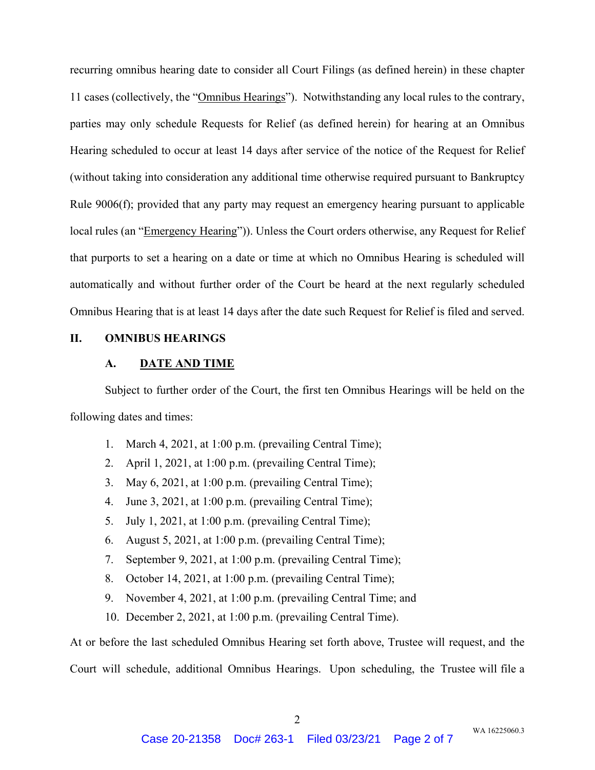recurring omnibus hearing date to consider all Court Filings (as defined herein) in these chapter 11 cases (collectively, the "Omnibus Hearings"). Notwithstanding any local rules to the contrary, parties may only schedule Requests for Relief (as defined herein) for hearing at an Omnibus Hearing scheduled to occur at least 14 days after service of the notice of the Request for Relief (without taking into consideration any additional time otherwise required pursuant to Bankruptcy Rule 9006(f); provided that any party may request an emergency hearing pursuant to applicable local rules (an "Emergency Hearing")). Unless the Court orders otherwise, any Request for Relief that purports to set a hearing on a date or time at which no Omnibus Hearing is scheduled will automatically and without further order of the Court be heard at the next regularly scheduled Omnibus Hearing that is at least 14 days after the date such Request for Relief is filed and served.

# **II. OMNIBUS HEARINGS**

### **A. DATE AND TIME**

Subject to further order of the Court, the first ten Omnibus Hearings will be held on the following dates and times:

- 1. March 4, 2021, at 1:00 p.m. (prevailing Central Time);
- 2. April 1, 2021, at 1:00 p.m. (prevailing Central Time);
- 3. May 6, 2021, at 1:00 p.m. (prevailing Central Time);
- 4. June 3, 2021, at 1:00 p.m. (prevailing Central Time);
- 5. July 1, 2021, at 1:00 p.m. (prevailing Central Time);
- 6. August 5, 2021, at 1:00 p.m. (prevailing Central Time);
- 7. September 9, 2021, at 1:00 p.m. (prevailing Central Time);
- 8. October 14, 2021, at 1:00 p.m. (prevailing Central Time);
- 9. November 4, 2021, at 1:00 p.m. (prevailing Central Time; and
- 10. December 2, 2021, at 1:00 p.m. (prevailing Central Time).

At or before the last scheduled Omnibus Hearing set forth above, Trustee will request, and the Court will schedule, additional Omnibus Hearings. Upon scheduling, the Trustee will file a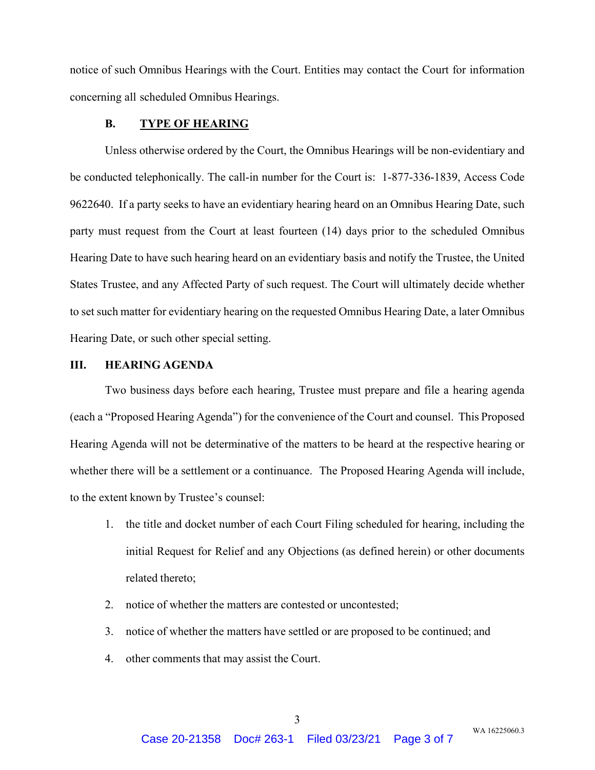notice of such Omnibus Hearings with the Court. Entities may contact the Court for information concerning all scheduled Omnibus Hearings.

#### **B. TYPE OF HEARING**

Unless otherwise ordered by the Court, the Omnibus Hearings will be non-evidentiary and be conducted telephonically. The call-in number for the Court is: 1-877-336-1839, Access Code 9622640. If a party seeks to have an evidentiary hearing heard on an Omnibus Hearing Date, such party must request from the Court at least fourteen (14) days prior to the scheduled Omnibus Hearing Date to have such hearing heard on an evidentiary basis and notify the Trustee, the United States Trustee, and any Affected Party of such request. The Court will ultimately decide whether to set such matter for evidentiary hearing on the requested Omnibus Hearing Date, a later Omnibus Hearing Date, or such other special setting.

### **III. HEARING AGENDA**

Two business days before each hearing, Trustee must prepare and file a hearing agenda (each a "Proposed Hearing Agenda") for the convenience of the Court and counsel. This Proposed Hearing Agenda will not be determinative of the matters to be heard at the respective hearing or whether there will be a settlement or a continuance. The Proposed Hearing Agenda will include, to the extent known by Trustee's counsel:

- 1. the title and docket number of each Court Filing scheduled for hearing, including the initial Request for Relief and any Objections (as defined herein) or other documents related thereto;
- 2. notice of whether the matters are contested or uncontested;
- 3. notice of whether the matters have settled or are proposed to be continued; and
- 4. other comments that may assist the Court.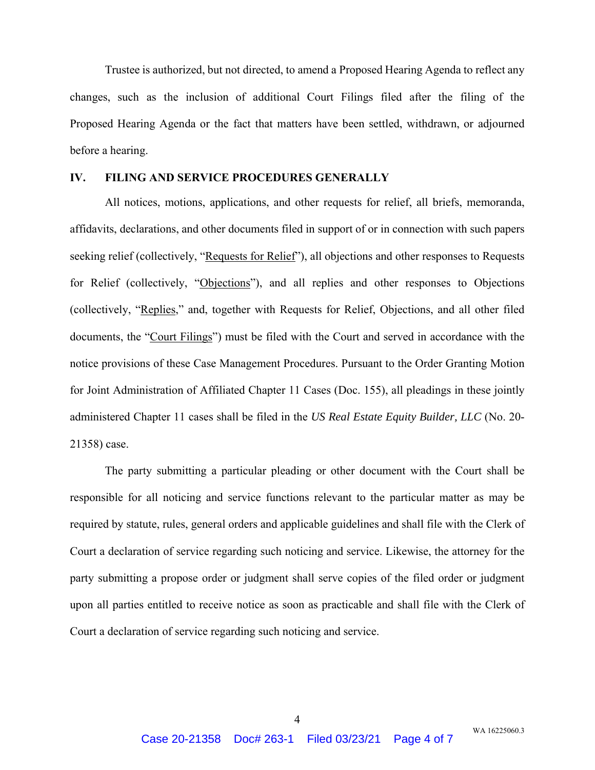Trustee is authorized, but not directed, to amend a Proposed Hearing Agenda to reflect any changes, such as the inclusion of additional Court Filings filed after the filing of the Proposed Hearing Agenda or the fact that matters have been settled, withdrawn, or adjourned before a hearing.

### **IV. FILING AND SERVICE PROCEDURES GENERALLY**

All notices, motions, applications, and other requests for relief, all briefs, memoranda, affidavits, declarations, and other documents filed in support of or in connection with such papers seeking relief (collectively, "Requests for Relief"), all objections and other responses to Requests for Relief (collectively, "Objections"), and all replies and other responses to Objections (collectively, "Replies," and, together with Requests for Relief, Objections, and all other filed documents, the "Court Filings") must be filed with the Court and served in accordance with the notice provisions of these Case Management Procedures. Pursuant to the Order Granting Motion for Joint Administration of Affiliated Chapter 11 Cases (Doc. 155), all pleadings in these jointly administered Chapter 11 cases shall be filed in the *US Real Estate Equity Builder, LLC* (No. 20- 21358) case.

The party submitting a particular pleading or other document with the Court shall be responsible for all noticing and service functions relevant to the particular matter as may be required by statute, rules, general orders and applicable guidelines and shall file with the Clerk of Court a declaration of service regarding such noticing and service. Likewise, the attorney for the party submitting a propose order or judgment shall serve copies of the filed order or judgment upon all parties entitled to receive notice as soon as practicable and shall file with the Clerk of Court a declaration of service regarding such noticing and service.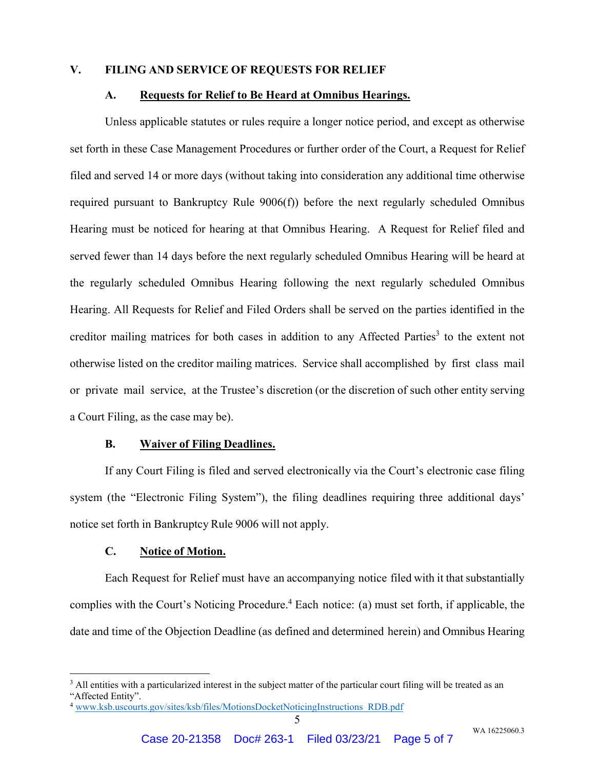### **V. FILING AND SERVICE OF REQUESTS FOR RELIEF**

### **A. Requests for Relief to Be Heard at Omnibus Hearings.**

Unless applicable statutes or rules require a longer notice period, and except as otherwise set forth in these Case Management Procedures or further order of the Court, a Request for Relief filed and served 14 or more days (without taking into consideration any additional time otherwise required pursuant to Bankruptcy Rule 9006(f)) before the next regularly scheduled Omnibus Hearing must be noticed for hearing at that Omnibus Hearing. A Request for Relief filed and served fewer than 14 days before the next regularly scheduled Omnibus Hearing will be heard at the regularly scheduled Omnibus Hearing following the next regularly scheduled Omnibus Hearing. All Requests for Relief and Filed Orders shall be served on the parties identified in the creditor mailing matrices for both cases in addition to any Affected Parties<sup>3</sup> to the extent not otherwise listed on the creditor mailing matrices. Service shall accomplished by first class mail or private mail service, at the Trustee's discretion (or the discretion of such other entity serving a Court Filing, as the case may be).

#### **B. Waiver of Filing Deadlines.**

If any Court Filing is filed and served electronically via the Court's electronic case filing system (the "Electronic Filing System"), the filing deadlines requiring three additional days' notice set forth in Bankruptcy Rule 9006 will not apply.

### **C. Notice of Motion.**

 $\overline{a}$ 

Each Request for Relief must have an accompanying notice filed with it that substantially complies with the Court's Noticing Procedure.<sup>4</sup> Each notice: (a) must set forth, if applicable, the date and time of the Objection Deadline (as defined and determined herein) and Omnibus Hearing

<sup>&</sup>lt;sup>3</sup> All entities with a particularized interest in the subject matter of the particular court filing will be treated as an "Affected Entity".

<sup>&</sup>lt;sup>4</sup> www.ksb.uscourts.gov/sites/ksb/files/MotionsDocketNoticingInstructions\_RDB.pdf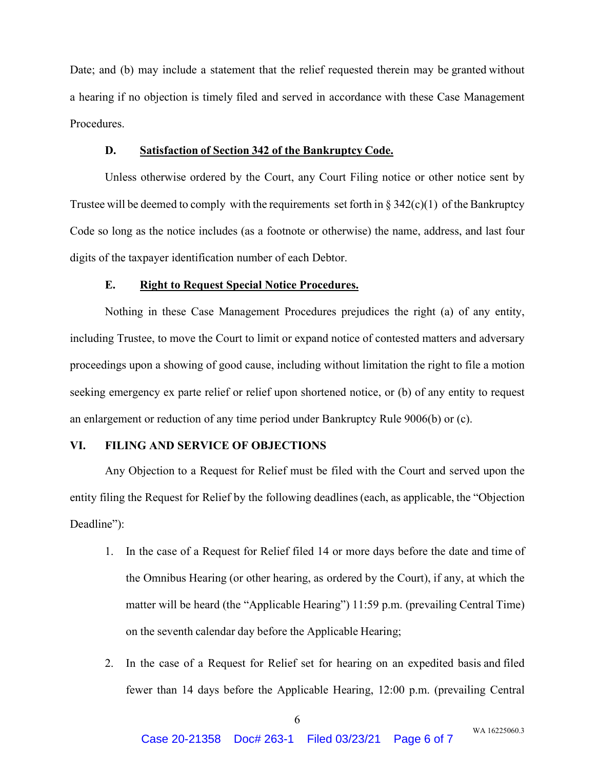Date; and (b) may include a statement that the relief requested therein may be granted without a hearing if no objection is timely filed and served in accordance with these Case Management Procedures.

## **D. Satisfaction of Section 342 of the Bankruptcy Code.**

Unless otherwise ordered by the Court, any Court Filing notice or other notice sent by Trustee will be deemed to comply with the requirements set forth in  $\S 342(c)(1)$  of the Bankruptcy Code so long as the notice includes (as a footnote or otherwise) the name, address, and last four digits of the taxpayer identification number of each Debtor.

### **E. Right to Request Special Notice Procedures.**

Nothing in these Case Management Procedures prejudices the right (a) of any entity, including Trustee, to move the Court to limit or expand notice of contested matters and adversary proceedings upon a showing of good cause, including without limitation the right to file a motion seeking emergency ex parte relief or relief upon shortened notice, or (b) of any entity to request an enlargement or reduction of any time period under Bankruptcy Rule 9006(b) or (c).

## **VI. FILING AND SERVICE OF OBJECTIONS**

Any Objection to a Request for Relief must be filed with the Court and served upon the entity filing the Request for Relief by the following deadlines (each, as applicable, the "Objection Deadline":

- 1. In the case of a Request for Relief filed 14 or more days before the date and time of the Omnibus Hearing (or other hearing, as ordered by the Court), if any, at which the matter will be heard (the "Applicable Hearing") 11:59 p.m. (prevailing Central Time) on the seventh calendar day before the Applicable Hearing;
- 2. In the case of a Request for Relief set for hearing on an expedited basis and filed fewer than 14 days before the Applicable Hearing, 12:00 p.m. (prevailing Central